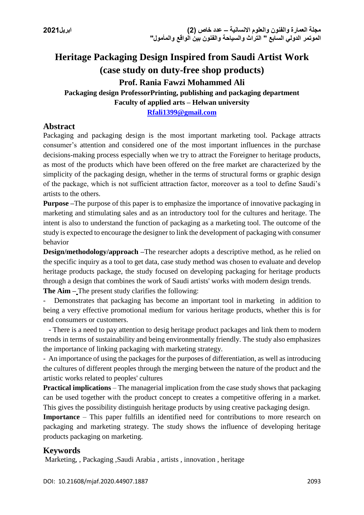# **Heritage Packaging Design Inspired from Saudi Artist Work (case study on duty-free shop products) Prof. Rania Fawzi Mohammed Ali**

**Packaging design ProfessorPrinting, publishing and packaging department Faculty of applied arts – Helwan university**

**[Rfali1399@gmail.com](mailto:Rfali1399@gmail.com)**

# **Abstract**

Packaging and packaging design is the most important marketing tool. Package attracts consumer's attention and considered one of the most important influences in the purchase decisions-making process especially when we try to attract the Foreigner to heritage products, as most of the products which have been offered on the free market are characterized by the simplicity of the packaging design, whether in the terms of structural forms or graphic design of the package, which is not sufficient attraction factor, moreover as a tool to define Saudi's artists to the others.

**Purpose –**The purpose of this paper is to emphasize the importance of innovative packaging in marketing and stimulating sales and as an introductory tool for the cultures and heritage. The intent is also to understand the function of packaging as a marketing tool. The outcome of the study is expected to encourage the designer to link the development of packaging with consumer behavior

**Design/methodology/approach** –The researcher adopts a descriptive method, as he relied on the specific inquiry as a tool to get data, case study method was chosen to evaluate and develop heritage products package, the study focused on developing packaging for heritage products through a design that combines the work of Saudi artists' works with modern design trends. **The Aim –** The present study clarifies the following:

Demonstrates that packaging has become an important tool in marketing in addition to being a very effective promotional medium for various heritage products, whether this is for end consumers or customers.

 - There is a need to pay attention to desig heritage product packages and link them to modern trends in terms of sustainability and being environmentally friendly. The study also emphasizes the importance of linking packaging with marketing strategy.

- An importance of using the packages for the purposes of differentiation, as well as introducing the cultures of different peoples through the merging between the nature of the product and the artistic works related to peoples' cultures

**Practical implications** – The managerial implication from the case study shows that packaging can be used together with the product concept to creates a competitive offering in a market. This gives the possibility distinguish heritage products by using creative packaging design.

**Importance** – This paper fulfills an identified need for contributions to more research on packaging and marketing strategy. The study shows the influence of developing heritage products packaging on marketing.

# **Keywords**

Marketing, , Packaging ,Saudi Arabia , artists , innovation , heritage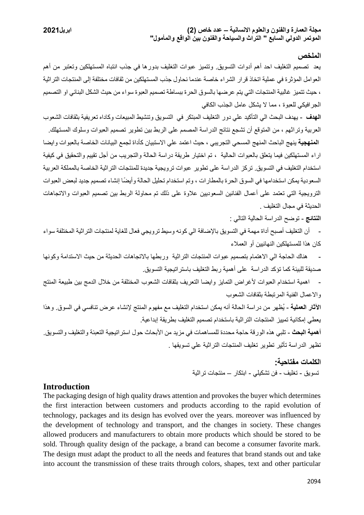#### **الملخص**

يعد تصميم التغليف احد أهم أدوات التسويق. وتتميز عبوات التغليف بدورها في جذب انتباه المستهلكين وتعتبر من أهم العوامل المؤثرة في عملية اتخاذ قرار الشراء خاصة عندما نحاول جذب المستهلكين من ثقافات مختلفة إلى المنتجات التراثية ، حيث تتميز غالبية المنتجات التي يتم عرضها بالسوق الحرة ببساطة تصميم العبوة سواء من حيث الشكل البنائي او التصميم الجرافيكي للعبوة ، مما ال يشكل عامل الجذب الكافي

**الهدف** - يهدف البحث الي التأكيد علي دور التغليف المبتكر في التسويق وتنشيط المبيعات وكاداه تعريفية بثقافات الشعوب العربية وتراثهم ، من المتوقع أن تشجع نتائج الدراسة المصمم على الربط بين تطوير تصميم العبوات وسلوك المستهلك. **المنهجية** ينهج الباحث المنهج المسحي التجريبي ، حيث اعتمد علي االستبيان كأداة لجمع البيانات الخاصة بالعبوات وايضا اراء المستهلكين فيما يتعلق بالعبوات الحالية ، تم اختيار طريقة دراسة الحالة والتجريب من أجل تقييم والتحقيق في كيفية استخدام التغليف في التسويق. تركز الدراسة على تطوير عبوات ترويجية جديدة للمنتجات التراثية الخاصة بالمملكة العربية السعودية يمكن استخدامها في السوق الحرة بالمطارات ، وتم استخدام تحليل الحالة وأيضًا إنشاء تصميم جديد لبعض العبوات الترويجية التي تعتمد على أعمال الفنانين السعوديين عالوة على ذلك تم محاولة الربط بين تصميم العبوات واالتجاهات الحديثة في مجال التغليف .

**النتائج** - توضح الدراسة الحالية التالي :

- أن التغليف أصبح أداة مهمة في التسويق باإلضافة الي كونه وسيط ترويجي فعال للغاية لمنتجات التراثية المختلفة سواء كان هذا للمستهلكين النهائيين أو العمالء

- هناك الحاجة الي االهتمام بتصميم عبوات المنتجات التراثية وربطها باالتجاهات الحديثة من حيث االستدامة وكونها صديقة للبيئة كما تؤكد الدراسة على أهمية ربط التغليف باستراتيجية التسويق.

- اهمية استخدام العبوات ألغراض التمايز وايضا التعريف بثقافات الشعوب المختلفة من خالل الدمج بين طبيعة المنتج واالعمال الفنية المرتبطة بثقافات الشعوب

**اآلثار العملية** - ُيظهر من دراسة الحالة أنه يمكن استخدام التغليف مع مفهوم المنتج إلنشاء عرض تنافسي في السوق. وهذا يعطي إمكانية تمييز المنتجات التراثية باستخدام تصميم التغليف بطريقة إبداعية.

أ**همية البحث** - تلبي هذه الورقة حاجة محددة للمساهمات في مزيد من الأبحاث حول استر اتيجية التعبئة والتغليف والتسويق. تظهر الدراسة تأثير تطوير تغليف المنتجات التراثية علي تسويقها .

> **الكلمات مفتاحية:** تسويق - تغليف - فن تشكيلي - ابتكار – منتجات تراثية

#### **Introduction**

The packaging design of high quality draws attention and provokes the buyer which determines the first interaction between customers and products according to the rapid evolution of technology, packages and its design has evolved over the years. moreover was influenced by the development of technology and transport, and the changes in society. These changes allowed producers and manufacturers to obtain more products which should be stored to be sold. Through quality design of the package, a brand can become a consumer favorite mark. The design must adapt the product to all the needs and features that brand stands out and take into account the transmission of these traits through colors, shapes, text and other particular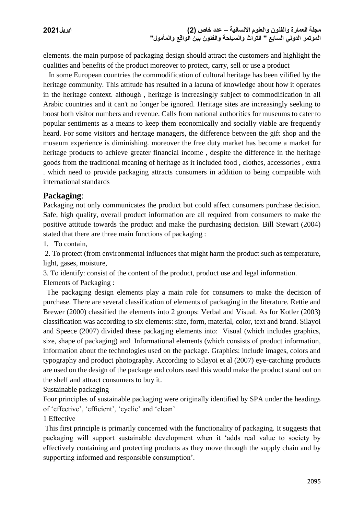elements. the main purpose of packaging design should attract the customers and highlight the qualities and benefits of the product moreover to protect, carry, sell or use a product

 In some European countries the commodification of cultural heritage has been vilified by the heritage community. This attitude has resulted in a lacuna of knowledge about how it operates in the heritage context. although , heritage is increasingly subject to commodification in all Arabic countries and it can't no longer be ignored. Heritage sites are increasingly seeking to boost both visitor numbers and revenue. Calls from national authorities for museums to cater to popular sentiments as a means to keep them economically and socially viable are frequently heard. For some visitors and heritage managers, the difference between the gift shop and the museum experience is diminishing. moreover the free duty market has become a market for heritage products to achieve greater financial income , despite the difference in the heritage goods from the traditional meaning of heritage as it included food , clothes, accessories , extra . which need to provide packaging attracts consumers in addition to being compatible with international standards

#### **Packaging**:

Packaging not only communicates the product but could affect consumers purchase decision. Safe, high quality, overall product information are all required from consumers to make the positive attitude towards the product and make the purchasing decision. Bill Stewart (2004) stated that there are three main functions of packaging :

1. To contain,

2. To protect (from environmental influences that might harm the product such as temperature, light, gases, moisture,

3. To identify: consist of the content of the product, product use and legal information.

Elements of Packaging :

 The packaging design elements play a main role for consumers to make the decision of purchase. There are several classification of elements of packaging in the literature. Rettie and Brewer (2000) classified the elements into 2 groups: Verbal and Visual. As for Kotler (2003) classification was according to six elements: size, form, material, color, text and brand. Silayoi and Speece (2007) divided these packaging elements into: Visual (which includes graphics, size, shape of packaging) and Informational elements (which consists of product information, information about the technologies used on the package. Graphics: include images, colors and typography and product photography. According to Silayoi et al (2007) eye-catching products are used on the design of the package and colors used this would make the product stand out on the shelf and attract consumers to buy it.

Sustainable packaging

Four principles of sustainable packaging were originally identified by SPA under the headings of 'effective', 'efficient', 'cyclic' and 'clean'

#### 1 Effective

This first principle is primarily concerned with the functionality of packaging. It suggests that packaging will support sustainable development when it 'adds real value to society by effectively containing and protecting products as they move through the supply chain and by supporting informed and responsible consumption'.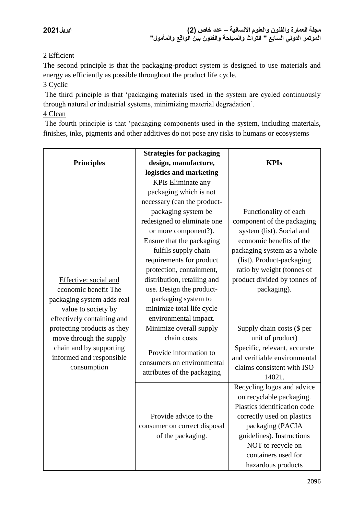# 2 Efficient

The second principle is that the packaging-product system is designed to use materials and energy as efficiently as possible throughout the product life cycle.

### 3 Cyclic

The third principle is that 'packaging materials used in the system are cycled continuously through natural or industrial systems, minimizing material degradation'.

# 4 Clean

The fourth principle is that 'packaging components used in the system, including materials, finishes, inks, pigments and other additives do not pose any risks to humans or ecosystems

|                             | <b>Strategies for packaging</b> | <b>KPIs</b>                  |  |
|-----------------------------|---------------------------------|------------------------------|--|
| <b>Principles</b>           | design, manufacture,            |                              |  |
|                             | logistics and marketing         |                              |  |
|                             | <b>KPIs Eliminate any</b>       |                              |  |
|                             | packaging which is not          |                              |  |
|                             | necessary (can the product-     |                              |  |
|                             | packaging system be             | Functionality of each        |  |
|                             | redesigned to eliminate one     | component of the packaging   |  |
|                             | or more component?).            | system (list). Social and    |  |
|                             | Ensure that the packaging       | economic benefits of the     |  |
|                             | fulfils supply chain            | packaging system as a whole  |  |
|                             | requirements for product        | (list). Product-packaging    |  |
|                             | protection, containment,        | ratio by weight (tonnes of   |  |
| Effective: social and       | distribution, retailing and     | product divided by tonnes of |  |
| economic benefit The        | use. Design the product-        | packaging).                  |  |
| packaging system adds real  | packaging system to             |                              |  |
| value to society by         | minimize total life cycle       |                              |  |
| effectively containing and  | environmental impact.           |                              |  |
| protecting products as they | Minimize overall supply         | Supply chain costs (\$ per   |  |
| move through the supply     | chain costs.                    | unit of product)             |  |
| chain and by supporting     | Provide information to          | Specific, relevant, accurate |  |
| informed and responsible    | consumers on environmental      | and verifiable environmental |  |
| consumption                 | attributes of the packaging     | claims consistent with ISO   |  |
|                             |                                 | 14021.                       |  |
|                             |                                 | Recycling logos and advice   |  |
|                             |                                 | on recyclable packaging.     |  |
|                             |                                 | Plastics identification code |  |
|                             | Provide advice to the           | correctly used on plastics   |  |
|                             | consumer on correct disposal    | packaging (PACIA             |  |
|                             | of the packaging.               | guidelines). Instructions    |  |
|                             |                                 | NOT to recycle on            |  |
|                             |                                 | containers used for          |  |
|                             |                                 | hazardous products           |  |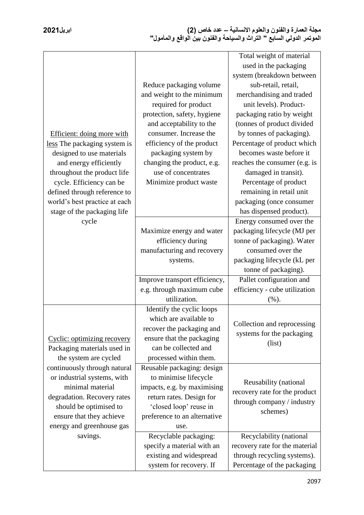| Efficient: doing more with<br>less The packaging system is<br>designed to use materials<br>and energy efficiently<br>throughout the product life                                                  | Reduce packaging volume<br>and weight to the minimum<br>required for product<br>protection, safety, hygiene<br>and acceptability to the<br>consumer. Increase the<br>efficiency of the product<br>packaging system by<br>changing the product, e.g.<br>use of concentrates | Total weight of material<br>used in the packaging<br>system (breakdown between<br>sub-retail, retail,<br>merchandising and traded<br>unit levels). Product-<br>packaging ratio by weight<br>(tonnes of product divided<br>by tonnes of packaging).<br>Percentage of product which<br>becomes waste before it<br>reaches the consumer (e.g. is<br>damaged in transit). |
|---------------------------------------------------------------------------------------------------------------------------------------------------------------------------------------------------|----------------------------------------------------------------------------------------------------------------------------------------------------------------------------------------------------------------------------------------------------------------------------|-----------------------------------------------------------------------------------------------------------------------------------------------------------------------------------------------------------------------------------------------------------------------------------------------------------------------------------------------------------------------|
| cycle. Efficiency can be                                                                                                                                                                          | Minimize product waste                                                                                                                                                                                                                                                     | Percentage of product                                                                                                                                                                                                                                                                                                                                                 |
| defined through reference to                                                                                                                                                                      |                                                                                                                                                                                                                                                                            | remaining in retail unit                                                                                                                                                                                                                                                                                                                                              |
| world's best practice at each                                                                                                                                                                     |                                                                                                                                                                                                                                                                            | packaging (once consumer                                                                                                                                                                                                                                                                                                                                              |
| stage of the packaging life<br>cycle                                                                                                                                                              |                                                                                                                                                                                                                                                                            | has dispensed product).<br>Energy consumed over the                                                                                                                                                                                                                                                                                                                   |
|                                                                                                                                                                                                   | Maximize energy and water<br>efficiency during<br>manufacturing and recovery<br>systems.                                                                                                                                                                                   | packaging lifecycle (MJ per<br>tonne of packaging). Water<br>consumed over the<br>packaging lifecycle (kL per<br>tonne of packaging).                                                                                                                                                                                                                                 |
|                                                                                                                                                                                                   | Improve transport efficiency,                                                                                                                                                                                                                                              | Pallet configuration and                                                                                                                                                                                                                                                                                                                                              |
|                                                                                                                                                                                                   | e.g. through maximum cube                                                                                                                                                                                                                                                  | efficiency - cube utilization                                                                                                                                                                                                                                                                                                                                         |
|                                                                                                                                                                                                   | utilization.                                                                                                                                                                                                                                                               | (%).                                                                                                                                                                                                                                                                                                                                                                  |
| Cyclic: optimizing recovery<br>Packaging materials used in<br>the system are cycled                                                                                                               | Identify the cyclic loops<br>which are available to<br>recover the packaging and<br>ensure that the packaging<br>can be collected and<br>processed within them.                                                                                                            | Collection and reprocessing<br>systems for the packaging<br>(list)                                                                                                                                                                                                                                                                                                    |
| continuously through natural<br>or industrial systems, with<br>minimal material<br>degradation. Recovery rates<br>should be optimised to<br>ensure that they achieve<br>energy and greenhouse gas | Reusable packaging: design<br>to minimise lifecycle<br>impacts, e.g. by maximising<br>return rates. Design for<br>'closed loop' reuse in<br>preference to an alternative<br>use.                                                                                           | Reusability (national<br>recovery rate for the product<br>through company / industry<br>schemes)                                                                                                                                                                                                                                                                      |
| savings.                                                                                                                                                                                          | Recyclable packaging:                                                                                                                                                                                                                                                      | Recyclability (national                                                                                                                                                                                                                                                                                                                                               |
|                                                                                                                                                                                                   | specify a material with an                                                                                                                                                                                                                                                 | recovery rate for the material                                                                                                                                                                                                                                                                                                                                        |
|                                                                                                                                                                                                   | existing and widespread                                                                                                                                                                                                                                                    | through recycling systems).                                                                                                                                                                                                                                                                                                                                           |
|                                                                                                                                                                                                   | system for recovery. If                                                                                                                                                                                                                                                    | Percentage of the packaging                                                                                                                                                                                                                                                                                                                                           |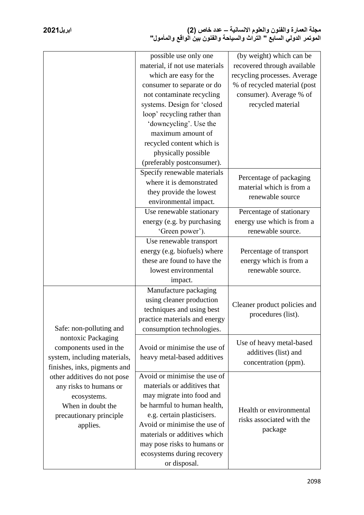|                                                                                                                                                                                                                                                                             | possible use only one<br>material, if not use materials<br>which are easy for the<br>consumer to separate or do<br>not contaminate recycling<br>systems. Design for 'closed<br>loop' recycling rather than<br>'downcycling'. Use the<br>maximum amount of                                          | (by weight) which can be<br>recovered through available<br>recycling processes. Average<br>% of recycled material (post<br>consumer). Average % of<br>recycled material |  |
|-----------------------------------------------------------------------------------------------------------------------------------------------------------------------------------------------------------------------------------------------------------------------------|----------------------------------------------------------------------------------------------------------------------------------------------------------------------------------------------------------------------------------------------------------------------------------------------------|-------------------------------------------------------------------------------------------------------------------------------------------------------------------------|--|
|                                                                                                                                                                                                                                                                             | recycled content which is<br>physically possible<br>(preferably postconsumer).                                                                                                                                                                                                                     |                                                                                                                                                                         |  |
|                                                                                                                                                                                                                                                                             | Specify renewable materials<br>where it is demonstrated<br>they provide the lowest<br>environmental impact.                                                                                                                                                                                        | Percentage of packaging<br>material which is from a<br>renewable source                                                                                                 |  |
|                                                                                                                                                                                                                                                                             | Use renewable stationary<br>energy (e.g. by purchasing<br>'Green power').                                                                                                                                                                                                                          | Percentage of stationary<br>energy use which is from a<br>renewable source.                                                                                             |  |
|                                                                                                                                                                                                                                                                             | Use renewable transport<br>energy (e.g. biofuels) where<br>these are found to have the<br>lowest environmental<br>impact.                                                                                                                                                                          | Percentage of transport<br>energy which is from a<br>renewable source.                                                                                                  |  |
| Safe: non-polluting and<br>nontoxic Packaging<br>components used in the<br>system, including materials,<br>finishes, inks, pigments and<br>other additives do not pose<br>any risks to humans or<br>ecosystems.<br>When in doubt the<br>precautionary principle<br>applies. | Manufacture packaging<br>using cleaner production<br>techniques and using best<br>practice materials and energy<br>consumption technologies.                                                                                                                                                       | Cleaner product policies and<br>procedures (list).                                                                                                                      |  |
|                                                                                                                                                                                                                                                                             | Avoid or minimise the use of<br>heavy metal-based additives                                                                                                                                                                                                                                        | Use of heavy metal-based<br>additives (list) and<br>concentration (ppm).                                                                                                |  |
|                                                                                                                                                                                                                                                                             | Avoid or minimise the use of<br>materials or additives that<br>may migrate into food and<br>be harmful to human health,<br>e.g. certain plasticisers.<br>Avoid or minimise the use of<br>materials or additives which<br>may pose risks to humans or<br>ecosystems during recovery<br>or disposal. | Health or environmental<br>risks associated with the<br>package                                                                                                         |  |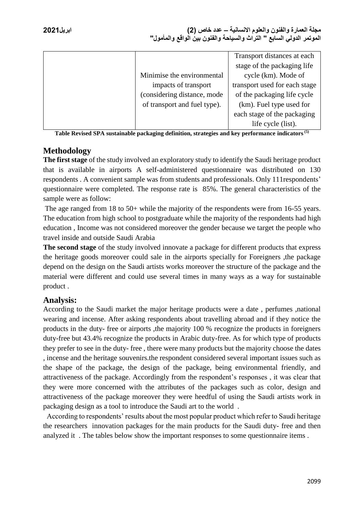|                              | Transport distances at each   |
|------------------------------|-------------------------------|
|                              | stage of the packaging life   |
| Minimise the environmental   | cycle (km). Mode of           |
| impacts of transport         | transport used for each stage |
| (considering distance, mode  | of the packaging life cycle   |
| of transport and fuel type). | (km). Fuel type used for      |
|                              | each stage of the packaging   |
|                              | life cycle (list).            |

**Table Revised SPA sustainable packaging definition, strategies and key performance indicators(5)**

# **Methodology**

**The first stage** of the study involved an exploratory study to identify the Saudi heritage product that is available in airports A self-administered questionnaire was distributed on 130 respondents . A convenient sample was from students and professionals. Only 111respondents' questionnaire were completed. The response rate is 85%. The general characteristics of the sample were as follow:

The age ranged from 18 to 50+ while the majority of the respondents were from 16-55 years. The education from high school to postgraduate while the majority of the respondents had high education , Income was not considered moreover the gender because we target the people who travel inside and outside Saudi Arabia

**The second stage** of the study involved innovate a package for different products that express the heritage goods moreover could sale in the airports specially for Foreigners ,the package depend on the design on the Saudi artists works moreover the structure of the package and the material were different and could use several times in many ways as a way for sustainable product .

# **Analysis:**

According to the Saudi market the major heritage products were a date , perfumes ,national wearing and incense. After asking respondents about travelling abroad and if they notice the products in the duty- free or airports ,the majority 100 % recognize the products in foreigners duty-free but 43.4% recognize the products in Arabic duty-free. As for which type of products they prefer to see in the duty- free , there were many products but the majority choose the dates , incense and the heritage souvenirs.the respondent considered several important issues such as the shape of the package, the design of the package, being environmental friendly, and attractiveness of the package. Accordingly from the respondent's responses , it was clear that they were more concerned with the attributes of the packages such as color, design and attractiveness of the package moreover they were heedful of using the Saudi artists work in packaging design as a tool to introduce the Saudi art to the world .

 According to respondents' results about the most popular product which refer to Saudi heritage the researchers innovation packages for the main products for the Saudi duty- free and then analyzed it . The tables below show the important responses to some questionnaire items .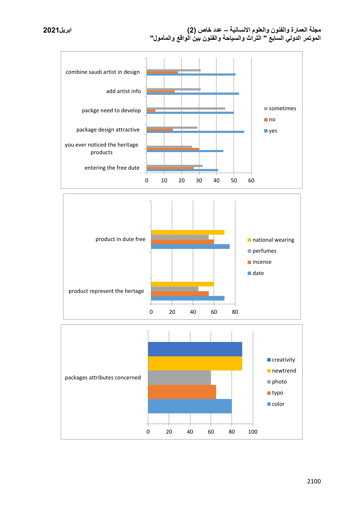



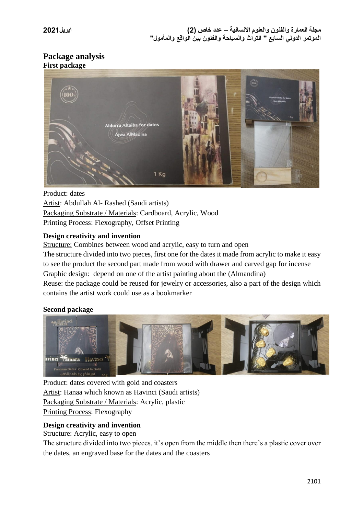# **Package analysis First package**



Product: dates Artist: Abdullah Al- Rashed (Saudi artists) Packaging Substrate / Materials: Cardboard, Acrylic, Wood Printing Process: Flexography, Offset Printing

### **Design creativity and invention**

Structure: Combines between wood and acrylic, easy to turn and open

The structure divided into two pieces, first one for the dates it made from acrylic to make it easy to see the product the second part made from wood with drawer and carved gap for incense Graphic design: depend on one of the artist painting about the (Almandina) Reuse: the package could be reused for jewelry or accessories, also a part of the design which

contains the artist work could use as a bookmarker

#### **Second package**



Product: dates covered with gold and coasters Artist: Hanaa which known as Havinci (Saudi artists) Packaging Substrate / Materials: Acrylic, plastic Printing Process: Flexography

# **Design creativity and invention**

Structure: Acrylic, easy to open

The structure divided into two pieces, it's open from the middle then there's a plastic cover over the dates, an engraved base for the dates and the coasters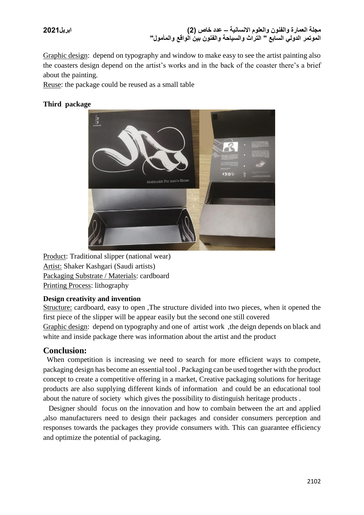Graphic design: depend on typography and window to make easy to see the artist painting also the coasters design depend on the artist's works and in the back of the coaster there's a brief about the painting.

Reuse: the package could be reused as a small table

#### **Third package**



Product: Traditional slipper (national wear) Artist: Shaker Kashgari (Saudi artists) Packaging Substrate / Materials: cardboard Printing Process: lithography

#### **Design creativity and invention**

Structure: cardboard, easy to open ,The structure divided into two pieces, when it opened the first piece of the slipper will be appear easily but the second one still covered Graphic design: depend on typography and one of artist work ,the deign depends on black and white and inside package there was information about the artist and the product

# **Conclusion:**

 When competition is increasing we need to search for more efficient ways to compete, packaging design has become an essential tool . Packaging can be used together with the product concept to create a competitive offering in a market, Creative packaging solutions for heritage products are also supplying different kinds of information and could be an educational tool about the nature of society which gives the possibility to distinguish heritage products .

 Designer should focus on the innovation and how to combain between the art and applied ,also manufacturers need to design their packages and consider consumers perception and responses towards the packages they provide consumers with. This can guarantee efficiency and optimize the potential of packaging.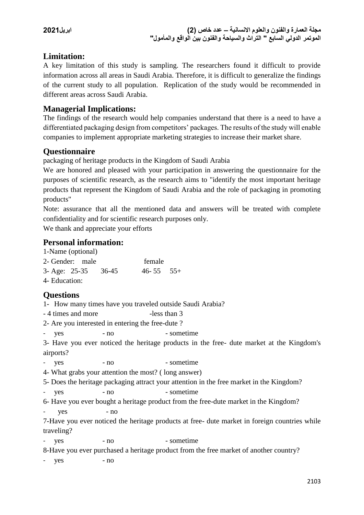# **Limitation:**

A key limitation of this study is sampling. The researchers found it difficult to provide information across all areas in Saudi Arabia. Therefore, it is difficult to generalize the findings of the current study to all population. Replication of the study would be recommended in different areas across Saudi Arabia.

# **Managerial Implications:**

The findings of the research would help companies understand that there is a need to have a differentiated packaging design from competitors' packages. The results of the study will enable companies to implement appropriate marketing strategies to increase their market share.

# **Questionnaire**

packaging of heritage products in the Kingdom of Saudi Arabia

We are honored and pleased with your participation in answering the questionnaire for the purposes of scientific research, as the research aims to "identify the most important heritage products that represent the Kingdom of Saudi Arabia and the role of packaging in promoting products"

Note: assurance that all the mentioned data and answers will be treated with complete confidentiality and for scientific research purposes only.

We thank and appreciate your efforts

# **Personal information:**

| 1-Name (optional)     |         |                                                      |                                                                                               |
|-----------------------|---------|------------------------------------------------------|-----------------------------------------------------------------------------------------------|
| 2- Gender: male       |         | female                                               |                                                                                               |
| 3- Age: 25-35         | $36-45$ | $46 - 55$                                            | $55+$                                                                                         |
| 4- Education:         |         |                                                      |                                                                                               |
| <b>Questions</b>      |         |                                                      |                                                                                               |
|                       |         |                                                      | 1- How many times have you traveled outside Saudi Arabia?                                     |
| - 4 times and more    |         | -less than 3                                         |                                                                                               |
|                       |         | 2- Are you interested in entering the free-dute?     |                                                                                               |
| yes<br>$\sim$         | - no    |                                                      | - sometime                                                                                    |
|                       |         |                                                      | 3- Have you ever noticed the heritage products in the free- dute market at the Kingdom's      |
| airports?             |         |                                                      |                                                                                               |
| yes                   | - no    |                                                      | - sometime                                                                                    |
|                       |         | 4- What grabs your attention the most? (long answer) |                                                                                               |
|                       |         |                                                      | 5- Does the heritage packaging attract your attention in the free market in the Kingdom?      |
| yes<br>$\sim 10^{-1}$ | $- no$  |                                                      | - sometime                                                                                    |
|                       |         |                                                      | 6- Have you ever bought a heritage product from the free-dute market in the Kingdom?          |
| yes                   | $- no$  |                                                      |                                                                                               |
|                       |         |                                                      | 7-Have you ever noticed the heritage products at free- dute market in foreign countries while |
| traveling?            |         |                                                      |                                                                                               |
| yes<br>$\sim 10^{-1}$ | $- no$  |                                                      | - sometime                                                                                    |
|                       |         |                                                      | 8-Have you ever purchased a heritage product from the free market of another country?         |
| yes                   | - no    |                                                      |                                                                                               |
|                       |         |                                                      |                                                                                               |